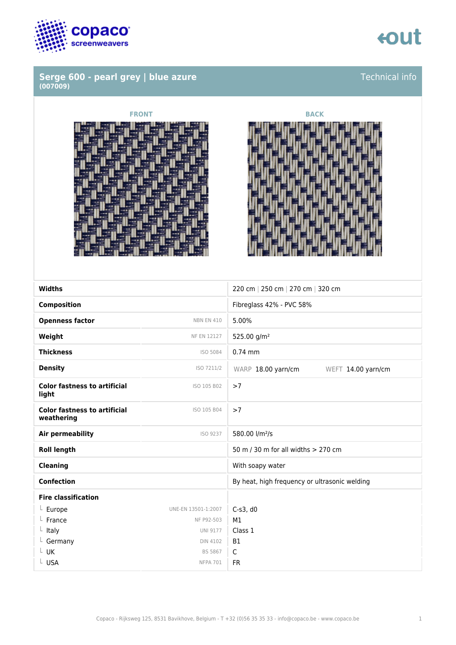

### **Serge 600 - pearl grey | blue azure (007009)**



### Technical info





| <b>Widths</b>                                     |                     |                                               |
|---------------------------------------------------|---------------------|-----------------------------------------------|
|                                                   |                     | 220 cm   250 cm   270 cm   320 cm             |
| <b>Composition</b>                                |                     | Fibreglass 42% - PVC 58%                      |
| <b>Openness factor</b>                            | <b>NBN EN 410</b>   | 5.00%                                         |
| Weight                                            | <b>NF EN 12127</b>  | 525.00 g/m <sup>2</sup>                       |
| <b>Thickness</b>                                  | ISO 5084            | $0.74$ mm                                     |
| <b>Density</b>                                    | ISO 7211/2          | WARP 18.00 yarn/cm<br>WEFT 14.00 yarn/cm      |
| <b>Color fastness to artificial</b><br>light      | ISO 105 B02         | >7                                            |
| <b>Color fastness to artificial</b><br>weathering | ISO 105 B04         | >7                                            |
| <b>Air permeability</b>                           | ISO 9237            | 580.00 l/m <sup>2</sup> /s                    |
| <b>Roll length</b>                                |                     | 50 m / 30 m for all widths > 270 cm           |
| <b>Cleaning</b>                                   |                     | With soapy water                              |
| <b>Confection</b>                                 |                     | By heat, high frequency or ultrasonic welding |
| <b>Fire classification</b>                        |                     |                                               |
| $L$ Europe                                        | UNE-EN 13501-1:2007 | $C-s3$ , d $0$                                |
| France                                            | NF P92-503          | M1                                            |
| Italy<br>L.                                       | <b>UNI 9177</b>     | Class 1                                       |
| $L$ Germany                                       | <b>DIN 4102</b>     | <b>B1</b>                                     |
| UK                                                | BS 5867             | $\mathsf C$                                   |
| L USA                                             | <b>NFPA 701</b>     | <b>FR</b>                                     |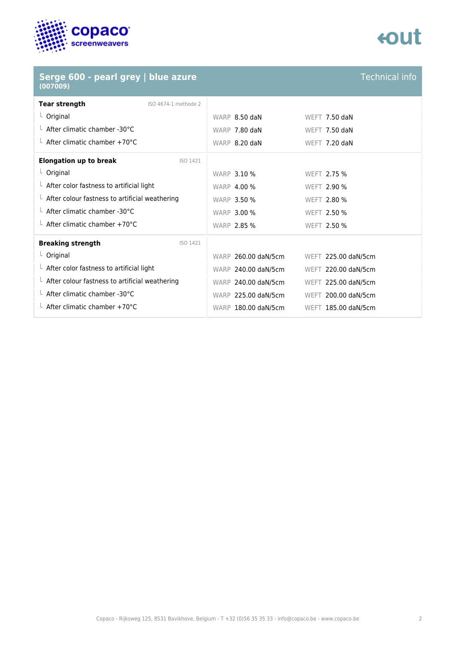

### **Serge 600 - pearl grey | blue azure (007009)**



Technical info

| <b>Tear strength</b><br>ISO 4674-1 methode 2           |                     |                     |
|--------------------------------------------------------|---------------------|---------------------|
| $L$ Original                                           | WARP 8.50 daN       | WEFT 7.50 daN       |
| $\perp$ After climatic chamber -30°C                   | WARP 7.80 daN       | WEFT $7.50$ daN     |
| $\perp$ After climatic chamber +70°C                   | WARP 8.20 daN       | WEFT $7.20$ daN     |
| <b>Elongation up to break</b><br>ISO 1421              |                     |                     |
| $L$ Original                                           | <b>WARP 3.10 %</b>  | WEFT 2.75 %         |
| $\perp$ After color fastness to artificial light       | <b>WARP 4.00 %</b>  | WEFT 2.90 %         |
| $\perp$ After colour fastness to artificial weathering | <b>WARP 3.50 %</b>  | WEFT 2.80 %         |
| L After climatic chamber -30°C                         | <b>WARP 3.00 %</b>  | WEFT 2.50 %         |
| $\perp$ After climatic chamber +70°C                   | <b>WARP 2.85 %</b>  | WEFT 2.50 %         |
| <b>Breaking strength</b><br>ISO 1421                   |                     |                     |
| $L$ Original                                           | WARP 260.00 daN/5cm | WEFT 225.00 daN/5cm |
| $\perp$ After color fastness to artificial light       | WARP 240.00 daN/5cm | WEFT 220.00 daN/5cm |
| $L$ After colour fastness to artificial weathering     | WARP 240.00 daN/5cm | WEFT 225.00 daN/5cm |
| $\perp$ After climatic chamber -30°C                   | WARP 225.00 daN/5cm | WEFT 200.00 daN/5cm |
| L After climatic chamber +70°C                         | WARP 180.00 daN/5cm | WEFT 185.00 daN/5cm |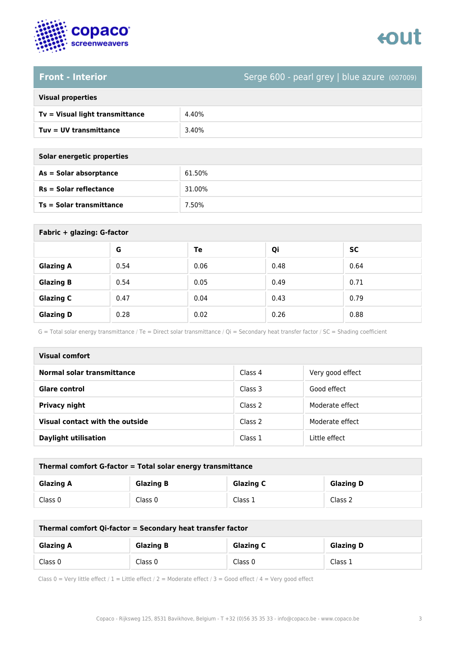

# enut

### **Front - Interior** Serge 600 - pearl grey | blue azure (007009)

| <b>Visual properties</b> |  |  |
|--------------------------|--|--|
|                          |  |  |

| $Tv = V$ isual light transmittance | 4.40% |
|------------------------------------|-------|
| Tuy = UV transmittance             | 3.40% |

| Solar energetic properties |  |
|----------------------------|--|
| As = Solar absorptance     |  |

| As = Solar absorptance          | 61.50% |
|---------------------------------|--------|
| $Rs = Solar$ reflectance        | 31.00% |
| <b>Ts = Solar transmittance</b> | 7.50%  |

| Fabric + glazing: G-factor |      |      |      |           |
|----------------------------|------|------|------|-----------|
|                            | G    | Te   | Qi   | <b>SC</b> |
| <b>Glazing A</b>           | 0.54 | 0.06 | 0.48 | 0.64      |
| <b>Glazing B</b>           | 0.54 | 0.05 | 0.49 | 0.71      |
| <b>Glazing C</b>           | 0.47 | 0.04 | 0.43 | 0.79      |
| <b>Glazing D</b>           | 0.28 | 0.02 | 0.26 | 0.88      |

G = Total solar energy transmittance / Te = Direct solar transmittance / Qi = Secondary heat transfer factor / SC = Shading coefficient

| Visual comfort                  |         |                  |
|---------------------------------|---------|------------------|
| Normal solar transmittance      | Class 4 | Very good effect |
| <b>Glare control</b>            | Class 3 | Good effect      |
| Privacy night                   | Class 2 | Moderate effect  |
| Visual contact with the outside | Class 2 | Moderate effect  |
| <b>Daylight utilisation</b>     | Class 1 | Little effect    |

| Thermal comfort G-factor = Total solar energy transmittance |                  |                  |                  |
|-------------------------------------------------------------|------------------|------------------|------------------|
| <b>Glazing A</b>                                            | <b>Glazing B</b> | <b>Glazing C</b> | <b>Glazing D</b> |
| Class 0                                                     | Class 0          | Class 1          | Class 2          |

| Thermal comfort Qi-factor = Secondary heat transfer factor |                  |                  |                  |
|------------------------------------------------------------|------------------|------------------|------------------|
| <b>Glazing A</b>                                           | <b>Glazing B</b> | <b>Glazing C</b> | <b>Glazing D</b> |
| Class 0                                                    | Class 0          | Class 0          | Class 1          |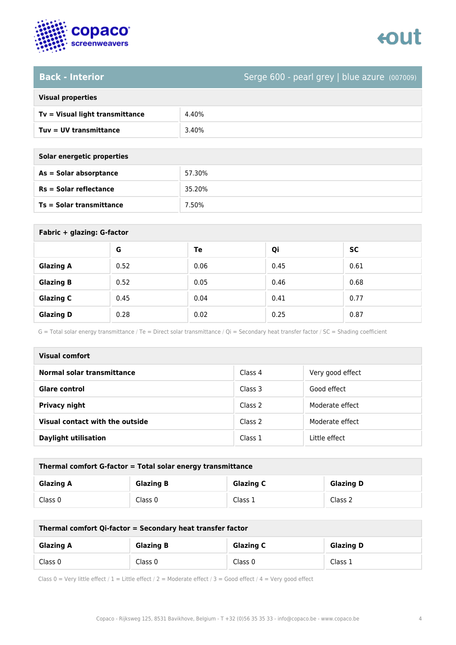

# tout

**Back - Interior** Serge 600 - pearl grey | blue azure (007009)

| <b>Visual properties</b> |  |  |
|--------------------------|--|--|

| $Tv = Visual light transmittance$ | 4.40% |
|-----------------------------------|-------|
| Tuv = UV transmittance            | 3.40% |

**Solar energetic properties**

| As = Solar absorptance   | 57.30% |
|--------------------------|--------|
| $Rs = Solar$ reflectance | 35.20% |
| Ts = Solar transmittance | 7.50%  |

| Fabric + glazing: G-factor |      |      |      |           |  |
|----------------------------|------|------|------|-----------|--|
|                            | G    | Te   | Qi   | <b>SC</b> |  |
| <b>Glazing A</b>           | 0.52 | 0.06 | 0.45 | 0.61      |  |
| <b>Glazing B</b>           | 0.52 | 0.05 | 0.46 | 0.68      |  |
| <b>Glazing C</b>           | 0.45 | 0.04 | 0.41 | 0.77      |  |
| <b>Glazing D</b>           | 0.28 | 0.02 | 0.25 | 0.87      |  |

G = Total solar energy transmittance / Te = Direct solar transmittance / Qi = Secondary heat transfer factor / SC = Shading coefficient

| Visual comfort                  |         |                  |  |
|---------------------------------|---------|------------------|--|
| Normal solar transmittance      | Class 4 | Very good effect |  |
| <b>Glare control</b>            | Class 3 | Good effect      |  |
| Privacy night                   | Class 2 | Moderate effect  |  |
| Visual contact with the outside | Class 2 | Moderate effect  |  |
| <b>Daylight utilisation</b>     | Class 1 | Little effect    |  |

| Thermal comfort G-factor = Total solar energy transmittance                  |         |         |         |  |
|------------------------------------------------------------------------------|---------|---------|---------|--|
| <b>Glazing C</b><br><b>Glazing B</b><br><b>Glazing D</b><br><b>Glazing A</b> |         |         |         |  |
| Class 0                                                                      | Class 0 | Class 1 | Class 2 |  |

| Thermal comfort Qi-factor = Secondary heat transfer factor                   |         |         |         |  |
|------------------------------------------------------------------------------|---------|---------|---------|--|
| <b>Glazing C</b><br><b>Glazing B</b><br><b>Glazing D</b><br><b>Glazing A</b> |         |         |         |  |
| Class 0                                                                      | Class 0 | Class 0 | Class 1 |  |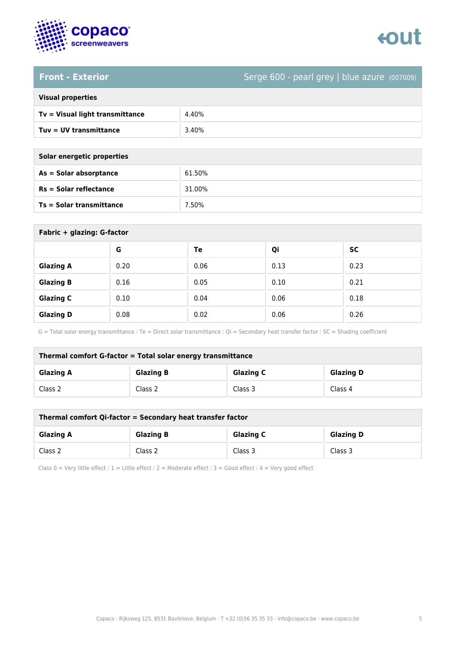

# tout

**Front - Exterior** Serge 600 - pearl grey | blue azure (007009)

| <b>Visual properties</b> |  |
|--------------------------|--|
|                          |  |

| $Tv = Visual light transmittance$ | 4.40% |
|-----------------------------------|-------|
| Tuy = UV transmittance            | 3.40% |

| Solar energetic properties |  |
|----------------------------|--|
| As = Solar absorptance     |  |

| As = Solar absorptance          | 61.50% |
|---------------------------------|--------|
| <b>Rs = Solar reflectance</b>   | 31.00% |
| <b>Ts = Solar transmittance</b> | 7.50%  |

| Fabric + glazing: G-factor |      |      |      |           |
|----------------------------|------|------|------|-----------|
|                            | G    | Te   | Qi   | <b>SC</b> |
| <b>Glazing A</b>           | 0.20 | 0.06 | 0.13 | 0.23      |
| <b>Glazing B</b>           | 0.16 | 0.05 | 0.10 | 0.21      |
| <b>Glazing C</b>           | 0.10 | 0.04 | 0.06 | 0.18      |
| <b>Glazing D</b>           | 0.08 | 0.02 | 0.06 | 0.26      |

G = Total solar energy transmittance / Te = Direct solar transmittance / Qi = Secondary heat transfer factor / SC = Shading coefficient

| Thermal comfort G-factor = Total solar energy transmittance |                  |                  |                  |  |
|-------------------------------------------------------------|------------------|------------------|------------------|--|
| <b>Glazing A</b>                                            | <b>Glazing B</b> | <b>Glazing C</b> | <b>Glazing D</b> |  |
| Class 2                                                     | Class 2          | Class 3          | Class 4          |  |

| Thermal comfort Qi-factor = Secondary heat transfer factor                   |         |         |         |  |
|------------------------------------------------------------------------------|---------|---------|---------|--|
| <b>Glazing C</b><br><b>Glazing B</b><br><b>Glazing D</b><br><b>Glazing A</b> |         |         |         |  |
| Class 2                                                                      | Class 2 | Class 3 | Class 3 |  |